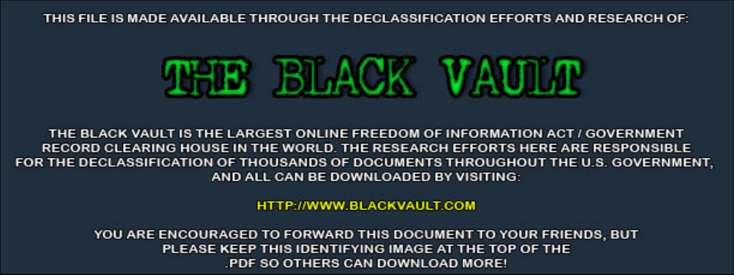THIS FILE IS MADE AVAILABLE THROUGH THE DECLASSIFICATION EFFORTS AND RESEARCH OF:



THE BLACK VAULT IS THE LARGEST ONLINE FREEDOM OF INFORMATION ACT / GOVERNMENT RECORD CLEARING HOUSE IN THE WORLD. THE RESEARCH EFFORTS HERE ARE RESPONSIBLE FOR THE DECLASSIFICATION OF THOUSANDS OF DOCUMENTS THROUGHOUT THE U.S. GOVERNMENT, AND ALL CAN BE DOWNLOADED BY VISITING:

**HTTP://WWW.BLACKVAULT.COM** 

YOU ARE ENCOURAGED TO FORWARD THIS DOCUMENT TO YOUR FRIENDS, BUT PLEASE KEEP THIS IDENTIFYING IMAGE AT THE TOP OF THE PDF SO OTHERS CAN DOWNLOAD MORE!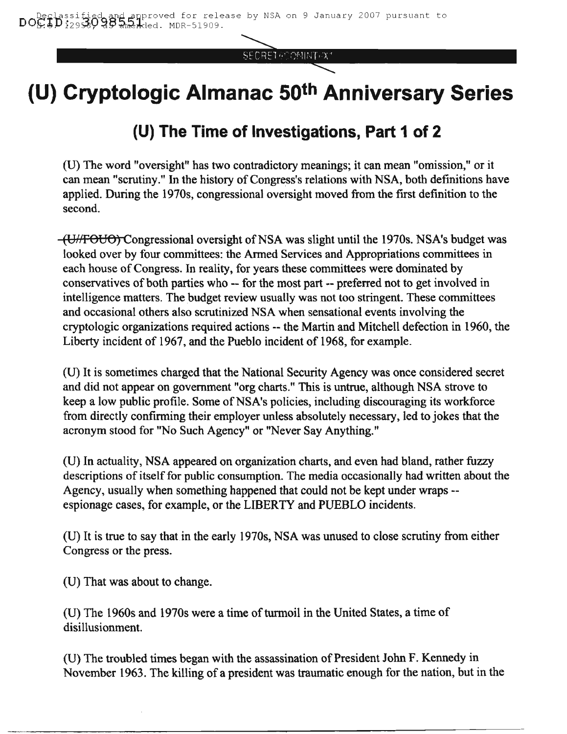SECRET POOMINT CX1

# **(U) Cryptologic Almanac 50th Anniversary Series**

# **(U) The Time of Investigations, Part 1 of 2**

(D) The word "oversight" has two contradictory meanings; it can mean "omission," or it can mean "scrutiny." In the history of Congress's relations with NSA, both definitions have applied. During the 1970s, congressional oversight moved from the first definition to the second.

(U<sub>HF</sub>OUO) Congressional oversight of NSA was slight until the 1970s. NSA's budget was looked over by four committees: the Armed Services and Appropriations committees in each house of Congress. In reality, for years these committees were dominated by conservatives of both parties who -- for the most part -- preferred not to get involved in intelligence matters. The budget review usually was not too stringent. These committees and occasional others also scrutinized NSA when sensational events involving the cryptologic organizations required actions -- the Martin and Mitchell defection in 1960, the Liberty incident of 1967, and the Pueblo incident of 1968, for example.

(U) It is sometimes charged that the National Security Agency was once considered secret and did not appear on government "org charts." This is untrue, although NSA strove to keep a low public profile. Some of NSA's policies, including discouraging its workforce from directly confirming their employer unless absolutely necessary, led to jokes that the acronym stood for "No Such Agency" or "Never Say Anything."

(U) In actuality, NSA appeared on organization charts, and even had bland, rather fuzzy descriptions of itself for public consumption. The media occasionally had written about the Agency, usually when something happened that could not be kept under wraps - espionage cases, for example, or the LIBERTY and PUEBLO incidents.

(U) It is true to say thatin the early 1970s, NSA was unused to close scrutiny from either Congress or the press.

(U) That was about to change.

(U) The 1960s and 1970s were a time of turmoil in the United States, a time of disillusionment.

(U) The troubled times began with the assassination of President John F. Kennedy in November 1963. The killing of a president was traumatic enough for the nation, but in the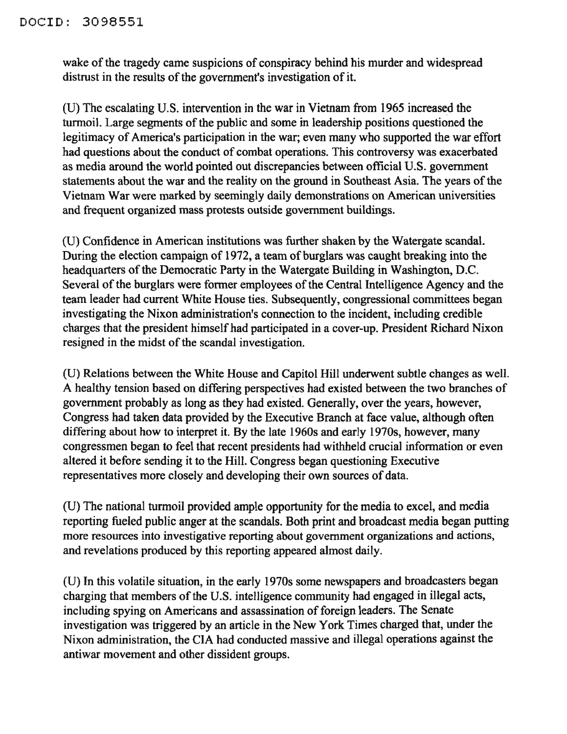wake of the tragedy came suspicions of conspiracy behind his murder and widespread distrust in the results of the government's investigation of it.

(V) The escalating V.S. intervention in the war in Vietnam from 1965 increased the turmoil. Large segments of the public and some in leadership positions questioned the legitimacy of America's participation in the war; even many who supported the war effort had questions about the conduct of combat operations. This controversy was exacerbated as media around the world pointed out discrepancies between official U.S. government statements about the war and the reality on the ground in Southeast Asia. The years of the Vietnam War were marked by seemingly daily demonstrations on American universities and frequent organized mass protests outside government buildings.

(U) Confidence in American institutions was further shaken by the Watergate scandal. During the election campaign of 1972, a team of burglars was caught breaking into the headquarters of the Democratic Party in the Watergate Building in Washington, D.C. Several of the burglars were former employees of the Central Intelligence Agency and the team leader had current White House ties. Subsequently, congressional committees began investigating the Nixon administration's connection to the incident, including credible charges that the president himself had participated in a cover-up. President Richard Nixon resigned in the midst of the scandal investigation.

(V) Relations between the White House and Capitol Hill underwent subtle changes as well. A healthy tension based on differing perspectives had existed between the two branches of government probably as long as they had existed. Generally, over the years, however, Congress had taken data provided by the Executive Branch at face value, although often differing about how to interpret it. By the late 1960s and early 1970s, however, many congressmen began to feel that recent presidents had withheld crucial information or even altered it before sending it to the Hill. Congress began questioning Executive representatives more closely and developing their own sources of data.

(V) The national turmoil provided ample opportunity for the media to excel, and media reporting fueled public anger at the scandals. Both print and broadcast media began putting more resources into investigative reporting about government organizations and actions, and revelations produced by this reporting appeared almost daily.

(V) In this volatile situation, in the early 1970s some newspapers and broadcasters began charging that members of the U.S. intelligence community had engaged in illegal acts, including spying on Americans and assassination of foreign leaders. The Senate investigation was triggered by an article in the New York Times charged that, under the Nixon administration, the CIA had conducted massive and illegal operations against the antiwar movement and other dissident groups.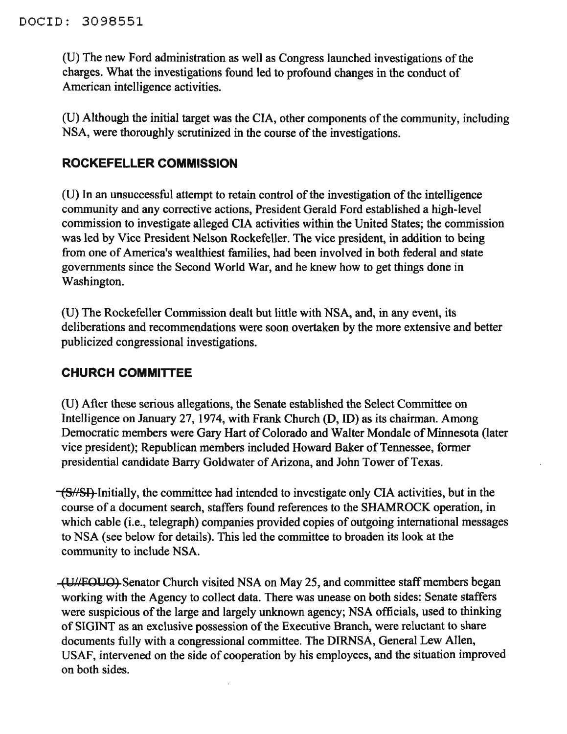(U) The new Ford administration as well as Congress launched investigations of the charges. What the investigations found led to profound changes in the conduct of American intelligence activities.

(U) Although the initial target was the CIA, other components of the community, including NSA, were thoroughly scrutinized in the course of the investigations.

### **ROCKEFELLER COMMISSION**

(U) In an unsuccessful attempt to retain control of the investigation of the intelligence community and any corrective actions, President Gerald Ford established a high-level commission to investigate alleged CIA activities within the United States; the commission was led by Vice President Nelson Rockefeller. The vice president, in addition to being from one of America's wealthiest families, had been involved in both federal and state governments since the Second World War, and he knew how to get things done in Washington.

(D) The Rockefeller Commission dealt but little with NSA, and, in any event, its deliberations and recommendations were soon overtaken by the more extensive and better publicized congressional investigations.

#### **CHURCH COMMITrEE**

(D) After these serious allegations, the Senate established the Select Committee on Intelligence on January 27, 1974, with Frank Church (D, ID) as its chairman. Among Democratic members were Gary Hart of Colorado and Walter Mondale of Minnesota (later vice president); Republican members included Howard Baker of Tennessee, former presidential candidate Barry Goldwater of Arizona, and John Tower of Texas.

 $\sqrt{\frac{S}{S}}$ -Initially, the committee had intended to investigate only CIA activities, but in the course of a document search, staffers found references to the SHAMROCK operation, in which cable (i.e., telegraph) companies provided copies of outgoing international messages to NSA (see below for details). This led the committee to broaden its look at the community to include NSA.

(UII~OUO) Senator Church visited NSA on May 25, and committee staffmembers began working with the Agency to collect data. There was unease on both sides: Senate staffers were suspicious of the large and largely unknown agency; NSA officials, used to thinking of SIGINT as an exclusive possession of the Executive Branch, were reluctant to share documents fully with a congressional committee. The DIRNSA, General Lew Allen, USAF, intervened on the side of cooperation by his employees, and the situation improved on both sides.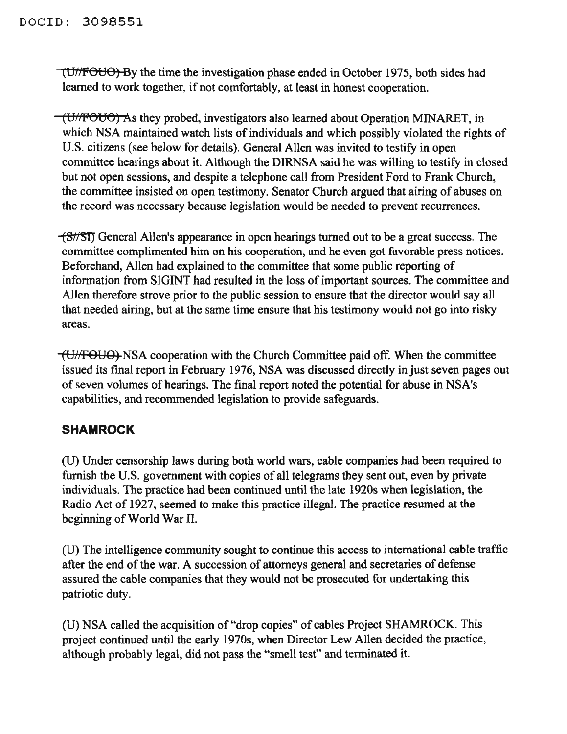(U/FOUO) By the time the investigation phase ended in October 1975, both sides had learned to work together, if not comfortably, at least in honest cooperation.

(U/fFOUO) As they probed, investigators also learned about Operation MINARET, in which NSA maintained watch lists of individuals and which possibly violated the rights of U.S. citizens (see below for details). General Allen was invited to testify in open committee hearings about it. Although the DIRNSA said he was willing to testify in closed but not open sessions, and despite a telephone call from President Ford to Frank Church, the committee insisted on open testimony. Senator Church argued that airing of abuses on the record was necessary because legislation would be needed to prevent recurrences.

(811511 General Allen's appearance in open hearings turned out to be a great success. The committee complimented him on his cooperation, and he even got favorable press notices. Beforehand, Allen had explained to the committee that some public reporting of information from SIGINT had resulted in the loss of important sources. The committee and Allen therefore strove prior to the public session to ensure that the director would say all that needed airing, but at the same time ensure that his testimony would not go into risky areas.

(UflFOUO) NSA cooperation with the Church Committee paid off. When the committee issued its final report in February 1976, NSA was discussed directly in just seven pages out of seven volumes of hearings. The final report noted the potential for abuse in NSA's capabilities, and recommended legislation to provide safeguards.

## **SHAMROCK**

(U) Under censorship laws during both world wars, cable companies had been required to furnish the U.S. government with copies of all telegrams they sent out, even by private individuals. The practice had been continued until the late 1920s when legislation, the Radio Act of 1927, seemed to make this practice illegal. The practice resumed at the beginning of World War II.

(U) The intelligence community sought to continue this access to international cable traffic after the end of the war. A succession of attorneys general and secretaries of defense assured the cable companies that they would not be prosecuted for undertaking this patriotic duty.

(U) NSA called the acquisition of "drop copies" of cables Project SHAMROCK. This project continued until the early 1970s, when Director Lew Allen decided the practice, although probably legal, did not pass the "smell test" and terminated it.